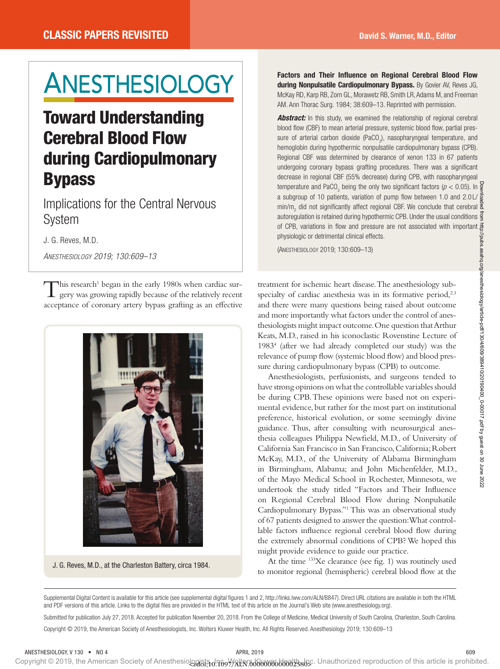# ANESTHESIOLOGY

# Toward Understanding Cerebral Blood Flow during Cardiopulmonary Bypass

Implications for the Central Nervous System

J. G. Reves, M.D.

*Anesthesiology 2019; 130:609–13*

This research<sup>1</sup> began in the early 1980s when cardiac sur-<br>gery was growing rapidly because of the relatively recent gery was growing rapidly because of the relatively recent acceptance of coronary artery bypass grafting as an effective



J. G. Reves, M.D., at the Charleston Battery, circa 1984.

Factors and Their Influence on Regional Cerebral Blood Flow during Nonpulsatile Cardiopulmonary Bypass. By Govier AV, Reves JG, McKay RD, Karp RB, Zorn GL, Morawetz RB, Smith LR, Adams M, and Freeman AM. Ann Thorac Surg. 1984; 38:609–13. Reprinted with permission.

**Abstract:** In this study, we examined the relationship of regional cerebral blood flow (CBF) to mean arterial pressure, systemic blood flow, partial pressure of arterial carbon dioxide (PaCO<sub>2</sub>), nasopharyngeal temperature, and hemoglobin during hypothermic nonpulsatile cardiopulmonary bypass (CPB). Regional CBF was determined by clearance of xenon 133 in 67 patients undergoing coronary bypass grafting procedures. There was a significant decrease in regional CBF (55% decrease) during CPB, with nasopharyngeal temperature and PaCO<sub>2</sub> being the only two significant factors ( $p < 0.05$ ). In a subgroup of 10 patients, variation of pump flow between 1.0 and 2.0 L/ $\frac{3}{8}$ min/m<sub>2</sub> did not significantly affect regional CBF. We conclude that cerebral autoregulation is retained during hypothermic CPB. Under the usual conditions  $\frac{3}{5}$ of CPB, variations in flow and pressure are not associated with important  $\vec{\Xi}$ physiologic or detrimental clinical effects.

(Anesthesiology 2019; 130:609–13)

treatment for ischemic heart disease. The anesthesiology subspecialty of cardiac anesthesia was in its formative period, $2,3$ and there were many questions being raised about outcome and more importantly what factors under the control of anesthesiologists might impact outcome. One question that Arthur Keats, M.D., raised in his iconoclastic Rovenstine Lecture of 19834 (after we had already completed our study) was the relevance of pump flow (systemic blood flow) and blood pressure during cardiopulmonary bypass (CPB) to outcome.

Anesthesiologists, perfusionists, and surgeons tended to have strong opinions on what the controllable variables should be during CPB. These opinions were based not on experimental evidence, but rather for the most part on institutional preference, historical evolution, or some seemingly divine guidance. Thus, after consulting with neurosurgical anesthesia colleagues Philippa Newfield, M.D., of University of California San Francisco in San Francisco, California; Robert McKay, M.D., of the University of Alabama Birmingham in Birmingham, Alabama; and John Michenfelder, M.D., of the Mayo Medical School in Rochester, Minnesota, we undertook the study titled "Factors and Their Influence on Regional Cerebral Blood Flow during Nonpulsatile Cardiopulmonary Bypass."1 This was an observational study of 67 patients designed to answer the question: What controllable factors influence regional cerebral blood flow during the extremely abnormal conditions of CPB? We hoped this might provide evidence to guide our practice.

At the time 133Xe clearance (see fig. 1) was routinely used to monitor regional (hemispheric) cerebral blood flow at the

Supplemental Digital Content is available for this article (see supplemental digital figures 1 and 2, http://links.lww.com/ALN/B847). Direct URL citations are available in both the HTML and PDF versions of this article. Links to the digital files are provided in the HTML text of this article on the Journal's Web site [\(www.anesthesiology.org](www.anesthesiology.org)). Submitted for publication July 27, 2018. Accepted for publication November 20, 2018. From the College of Medicine, Medical University of South Carolina, Charleston, South Carolina. Copyright © 2019, the American Society of Anesthesiologists, Inc. Wolters Kluwer Health, Inc. All Rights Reserved. Anesthesiology 2019; 130:609–13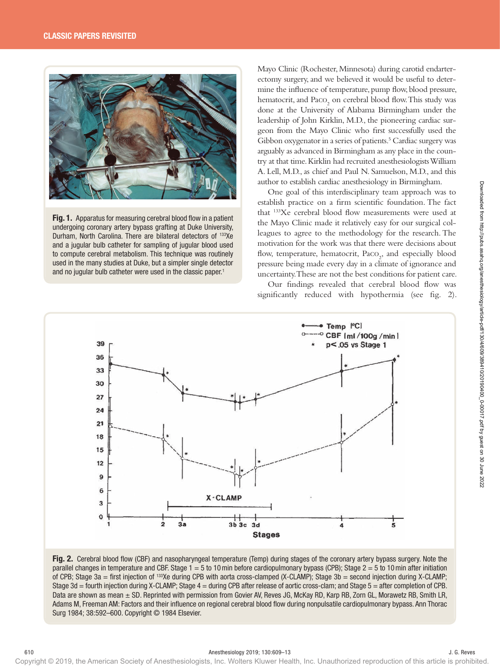

Fig. 1. Apparatus for measuring cerebral blood flow in a patient undergoing coronary artery bypass grafting at Duke University, Durham, North Carolina. There are bilateral detectors of 133Xe and a jugular bulb catheter for sampling of jugular blood used to compute cerebral metabolism. This technique was routinely used in the many studies at Duke, but a simpler single detector and no jugular bulb catheter were used in the classic paper.<sup>1</sup>

Mayo Clinic (Rochester, Minnesota) during carotid endarterectomy surgery, and we believed it would be useful to determine the influence of temperature, pump flow, blood pressure, hematocrit, and  $\text{Paco}_{2}$  on cerebral blood flow. This study was done at the University of Alabama Birmingham under the leadership of John Kirklin, M.D., the pioneering cardiac surgeon from the Mayo Clinic who first successfully used the Gibbon oxygenator in a series of patients.<sup>5</sup> Cardiac surgery was arguably as advanced in Birmingham as any place in the country at that time. Kirklin had recruited anesthesiologists William A. Lell, M.D., as chief and Paul N. Samuelson, M.D., and this author to establish cardiac anesthesiology in Birmingham.

One goal of this interdisciplinary team approach was to establish practice on a firm scientific foundation. The fact that 133Xe cerebral blood flow measurements were used at the Mayo Clinic made it relatively easy for our surgical colleagues to agree to the methodology for the research. The motivation for the work was that there were decisions about flow, temperature, hematocrit, Paco<sub>2</sub>, and especially blood pressure being made every day in a climate of ignorance and uncertainty. These are not the best conditions for patient care.

Our findings revealed that cerebral blood flow was significantly reduced with hypothermia (see fig. 2).



Fig. 2. Cerebral blood flow (CBF) and nasopharyngeal temperature (Temp) during stages of the coronary artery bypass surgery. Note the parallel changes in temperature and CBF. Stage 1 = 5 to 10min before cardiopulmonary bypass (CPB); Stage 2 = 5 to 10min after initiation of CPB; Stage 3a = first injection of 133Xe during CPB with aorta cross-clamped (X-CLAMP); Stage 3b = second injection during X-CLAMP; Stage 3d = fourth injection during X-CLAMP; Stage 4 = during CPB after release of aortic cross-clam; and Stage 5 = after completion of CPB. Data are shown as mean  $\pm$  SD. Reprinted with permission from Govier AV, Reves JG, McKay RD, Karp RB, Zorn GL, Morawetz RB, Smith LR, Adams M, Freeman AM: Factors and their influence on regional cerebral blood flow during nonpulsatile cardiopulmonary bypass. Ann Thorac Surg 1984; 38:592–600. Copyright © 1984 Elsevier.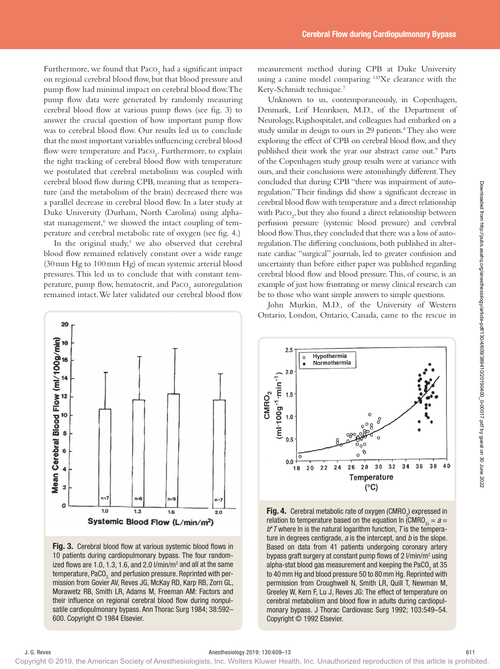Furthermore, we found that  $\text{Paco}_{2}$  had a significant impact on regional cerebral blood flow, but that blood pressure and pump flow had minimal impact on cerebral blood flow. The pump flow data were generated by randomly measuring cerebral blood flow at various pump flows (see fig. 3) to answer the crucial question of how important pump flow was to cerebral blood flow. Our results led us to conclude that the most important variables influencing cerebral blood flow were temperature and Paco<sub>2</sub>. Furthermore, to explain the tight tracking of cerebral blood flow with temperature we postulated that cerebral metabolism was coupled with cerebral blood flow during CPB, meaning that as temperature (and the metabolism of the brain) decreased there was a parallel decrease in cerebral blood flow. In a later study at Duke University (Durham, North Carolina) using alphastat management,<sup>6</sup> we showed the intact coupling of temperature and cerebral metabolic rate of oxygen (see fig. 4.)

In the original study, $1$  we also observed that cerebral blood flow remained relatively constant over a wide range (30mm Hg to 100mm Hg) of mean systemic arterial blood pressures. This led us to conclude that with constant temperature, pump flow, hematocrit, and  $\text{Paco}_{2}$  autoregulation remained intact. We later validated our cerebral blood flow



Fig. 3. Cerebral blood flow at various systemic blood flows in 10 patients during cardiopulmonary bypass. The four randomized flows are 1.0, 1.3, 1.6, and 2.0  $l/min/m<sup>2</sup>$  and all at the same temperature, PaCO<sub>2</sub> and perfusion pressure. Reprinted with permission from Govier AV, Reves JG, McKay RD, Karp RB, Zorn GL, Morawetz RB, Smith LR, Adams M, Freeman AM: Factors and their influence on regional cerebral blood flow during nonpulsatile cardiopulmonary bypass. Ann Thorac Surg 1984; 38:592– 600. Copyright © 1984 Elsevier.

measurement method during CPB at Duke University using a canine model comparing 133Xe clearance with the Kety-Schmidt technique.7

Unknown to us, contemporaneously, in Copenhagen, Denmark, Leif Henriksen, M.D., of the Department of Neurology, Rigshospitalet, and colleagues had embarked on a study similar in design to ours in 29 patients.<sup>8</sup> They also were exploring the effect of CPB on cerebral blood flow, and they published their work the year our abstract came out.<sup>9</sup> Parts of the Copenhagen study group results were at variance with ours, and their conclusions were astonishingly different. They concluded that during CPB "there was impairment of autoregulation." Their findings did show a significant decrease in cerebral blood flow with temperature and a direct relationship with Paco<sub>2</sub>, but they also found a direct relationship between perfusion pressure (systemic blood pressure) and cerebral blood flow. Thus, they concluded that there was a loss of autoregulation. The differing conclusions, both published in alternate cardiac "surgical" journals, led to greater confusion and uncertainty than before either paper was published regarding cerebral blood flow and blood pressure. This, of course, is an example of just how frustrating or messy clinical research can be to those who want simple answers to simple questions.

John Murkin, M.D., of the University of Western Ontario, London, Ontario, Canada, came to the rescue in



**Fig. 4.** Cerebral metabolic rate of oxygen (CMRO<sub>2</sub>) expressed in relation to temperature based on the equation In (CMRO $_{2)} = a =$ *b*\**T* where ln is the natural logarithm function, *T* is the temperature in degrees centigrade, *a* is the intercept, and *b* is the slope. Based on data from 41 patients undergoing coronary artery bypass graft surgery at constant pump flows of 2 I/min/m<sup>2</sup> using alpha-stat blood gas measurement and keeping the PaCO<sub>2</sub> at 35  $^{\circ}$ to 40mm Hg and blood pressure 50 to 80mm Hg. Reprinted with permission from Croughwell N, Smith LR, Quill T, Newman M, Greeley W, Kern F, Lu J, Reves JG: The effect of temperature on cerebral metabolism and blood flow in adults during cardiopulmonary bypass. J Thorac Cardiovasc Surg 1992; 103:549–54. Copyright © 1992 Elsevier.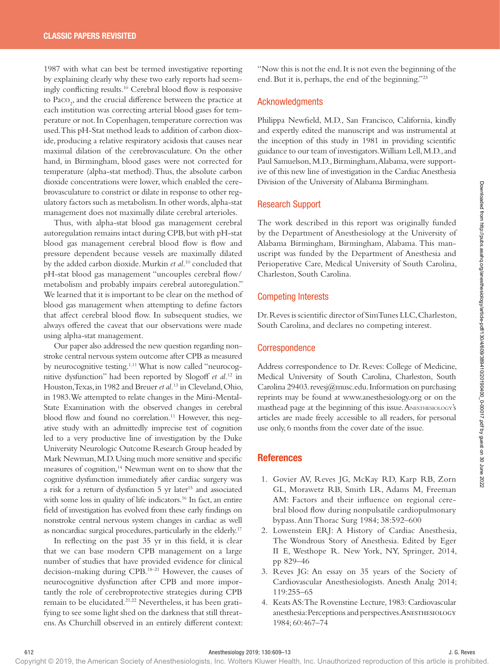1987 with what can best be termed investigative reporting by explaining clearly why these two early reports had seemingly conflicting results.10 Cerebral blood flow is responsive to Paco<sub>2</sub>, and the crucial difference between the practice at each institution was correcting arterial blood gases for temperature or not. In Copenhagen, temperature correction was used. This pH-Stat method leads to addition of carbon dioxide, producing a relative respiratory acidosis that causes near maximal dilation of the cerebrovasculature. On the other hand, in Birmingham, blood gases were not corrected for temperature (alpha-stat method). Thus, the absolute carbon dioxide concentrations were lower, which enabled the cerebrovasculature to constrict or dilate in response to other regulatory factors such as metabolism. In other words, alpha-stat management does not maximally dilate cerebral arterioles.

Thus, with alpha-stat blood gas management cerebral autoregulation remains intact during CPB, but with pH-stat blood gas management cerebral blood flow is flow and pressure dependent because vessels are maximally dilated by the added carbon dioxide. Murkin *et al*. 10 concluded that pH-stat blood gas management "uncouples cerebral flow/ metabolism and probably impairs cerebral autoregulation." We learned that it is important to be clear on the method of blood gas management when attempting to define factors that affect cerebral blood flow. In subsequent studies, we always offered the caveat that our observations were made using alpha-stat management.

Our paper also addressed the new question regarding nonstroke central nervous system outcome after CPB as measured by neurocognitive testing.1,11 What is now called "neurocognitive dysfunction" had been reported by Slogoff *et al.*12 in Houston, Texas, in 1982 and Breuer *et al.*13 in Cleveland, Ohio, in 1983. We attempted to relate changes in the Mini-Mental-State Examination with the observed changes in cerebral blood flow and found no correlation.<sup>11</sup> However, this negative study with an admittedly imprecise test of cognition led to a very productive line of investigation by the Duke University Neurologic Outcome Research Group headed by Mark Newman, M.D. Using much more sensitive and specific measures of cognition,<sup>14</sup> Newman went on to show that the cognitive dysfunction immediately after cardiac surgery was a risk for a return of dysfunction 5 yr later<sup>15</sup> and associated with some loss in quality of life indicators.<sup>16</sup> In fact, an entire field of investigation has evolved from these early findings on nonstroke central nervous system changes in cardiac as well as noncardiac surgical procedures, particularly in the elderly.17 betwee contentions were took as when consider the consideration of the same propagation of the same of the same of the same of the same of the same of the same of the same of the same of the same of the same of the same o

In reflecting on the past 35 yr in this field, it is clear that we can base modern CPB management on a large number of studies that have provided evidence for clinical decision-making during CPB.18–21 However, the causes of neurocognitive dysfunction after CPB and more importantly the role of cerebroprotective strategies during CPB remain to be elucidated.21,22 Nevertheless, it has been gratifying to see some light shed on the darkness that still threatens. As Churchill observed in an entirely different context: "Now this is not the end. It is not even the beginning of the end. But it is, perhaps, the end of the beginning."23

## Acknowledgments

Philippa Newfield, M.D., San Francisco, California, kindly and expertly edited the manuscript and was instrumental at the inception of this study in 1981 in providing scientific guidance to our team of investigators. William Lell, M.D., and Paul Samuelson, M.D., Birmingham, Alabama, were supportive of this new line of investigation in the Cardiac Anesthesia Division of the University of Alabama Birmingham.

#### Research Support

The work described in this report was originally funded by the Department of Anesthesiology at the University of Alabama Birmingham, Birmingham, Alabama. This manuscript was funded by the Department of Anesthesia and Perioperative Care, Medical University of South Carolina, Charleston, South Carolina.

## Competing Interests

Dr. Reves is scientific director of SimTunes LLC, Charleston, South Carolina, and declares no competing interest.

#### **Correspondence**

Address correspondence to Dr. Reves: College of Medicine, Medical University of South Carolina, Charleston, South Carolina 29403. revesj@musc.edu. Information on purchasing reprints may be found at <www.anesthesiology.org> or on the masthead page at the beginning of this issue. ANESTHESIOLOGY's articles are made freely accessible to all readers, for personal use only, 6 months from the cover date of the issue.

#### **References**

- 1. Govier AV, Reves JG, McKay RD, Karp RB, Zorn GL, Morawetz RB, Smith LR, Adams M, Freeman AM: Factors and their influence on regional cerebral blood flow during nonpulsatile cardiopulmonary bypass. Ann Thorac Surg 1984; 38:592–600
- 2. Lowenstein ERJ: A History of Cardiac Anesthesia, The Wondrous Story of Anesthesia. Edited by Eger II E, Westhope R. New York, NY, Springer, 2014, pp 829–46
- 3. Reves JG: An essay on 35 years of the Society of Cardiovascular Anesthesiologists. Anesth Analg 2014; 119:255–65
- 4. Keats AS: The Rovenstine Lecture, 1983: Cardiovascular anesthesia: Perceptions and perspectives. Anesthesiology 1984; 60:467–74